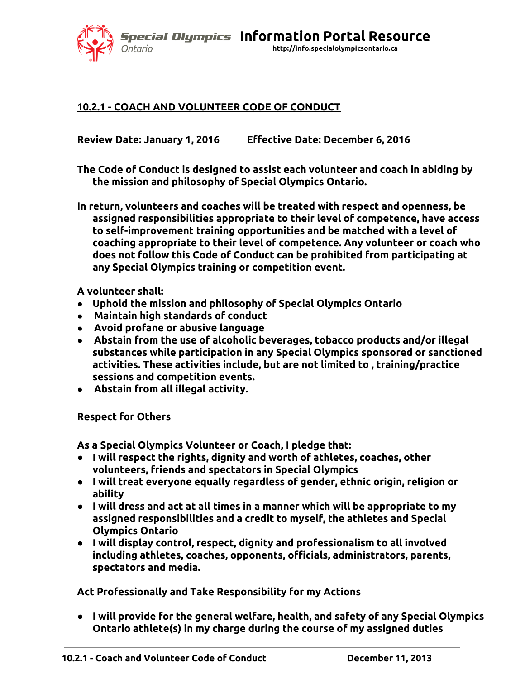*Special Olympics Information Portal Resource* http://info.specialolympicsontario.ca

#### **10.2.1 - COACH AND VOLUNTEER CODE OF CONDUCT**

**Review Date: January 1, 2016 Effective Date: December 6, 2016**

**The Code of Conduct is designed to assist each volunteer and coach in abiding by the mission and philosophy of Special Olympics Ontario.**

**In return, volunteers and coaches will be treated with respect and openness, be assigned responsibilities appropriate to their level of competence, have access to self-improvement training opportunities and be matched with a level of coaching appropriate to their level of competence. Any volunteer or coach who does not follow this Code of Conduct can be prohibited from participating at any Special Olympics training or competition event.**

**A volunteer shall:**

Ontario

- **Uphold the mission and philosophy of Special Olympics Ontario**
- **Maintain high standards of conduct**
- **Avoid profane or abusive language**
- **Abstain from the use of alcoholic beverages, tobacco products and/or illegal substances while participation in any Special Olympics sponsored or sanctioned activities. These activities include, but are not limited to , training/practice sessions and competition events.**
- **Abstain from all illegal activity.**

#### **Respect for Others**

**As a Special Olympics Volunteer or Coach, I pledge that:**

- **I will respect the rights, dignity and worth of athletes, coaches, other volunteers, friends and spectators in Special Olympics**
- **I will treat everyone equally regardless of gender, ethnic origin, religion or ability**
- **I will dress and act at all times in a manner which will be appropriate to my assigned responsibilities and a credit to myself, the athletes and Special Olympics Ontario**
- **I will display control, respect, dignity and professionalism to all involved including athletes, coaches, opponents, officials, administrators, parents, spectators and media.**

**Act Professionally and Take Responsibility for my Actions**

● **I will provide for the general welfare, health, and safety of any Special Olympics Ontario athlete(s) in my charge during the course of my assigned duties**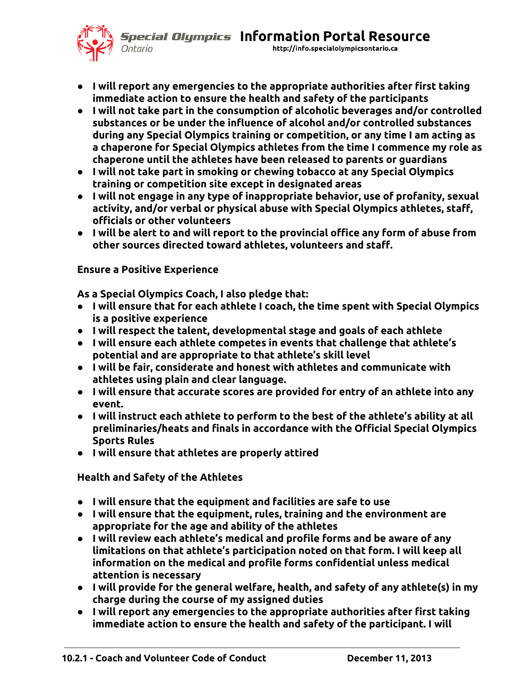**Special Olympics Information Portal Resource** 



http://info.specialolympicsontario.ca

- **I will report any emergencies to the appropriate authorities after first taking immediate action to ensure the health and safety of the participants**
- **I will not take part in the consumption of alcoholic beverages and/or controlled substances or be under the influence of alcohol and/or controlled substances during any Special Olympics training or competition, or any time I am acting as a chaperone for Special Olympics athletes from the time I commence my role as chaperone until the athletes have been released to parents or guardians**
- **I will not take part in smoking or chewing tobacco at any Special Olympics training or competition site except in designated areas**
- **I will not engage in any type of inappropriate behavior, use of profanity, sexual activity, and/or verbal or physical abuse with Special Olympics athletes, staff, officials or other volunteers**
- **I will be alert to and will report to the provincial office any form of abuse from other sources directed toward athletes, volunteers and staff.**

# **Ensure a Positive Experience**

**As a Special Olympics Coach, I also pledge that:**

- **I will ensure that for each athlete I coach, the time spent with Special Olympics is a positive experience**
- **I will respect the talent, developmental stage and goals of each athlete**
- **I will ensure each athlete competes in events that challenge that athlete's potential and are appropriate to that athlete's skill level**
- **I will be fair, considerate and honest with athletes and communicate with athletes using plain and clear language.**
- **I will ensure that accurate scores are provided for entry of an athlete into any event.**
- **I will instruct each athlete to perform to the best of the athlete's ability at all preliminaries/heats and finals in accordance with the Official Special Olympics Sports Rules**
- **I will ensure that athletes are properly attired**

**Health and Safety of the Athletes**

- **I will ensure that the equipment and facilities are safe to use**
- **I will ensure that the equipment, rules, training and the environment are appropriate for the age and ability of the athletes**
- **I will review each athlete's medical and profile forms and be aware of any limitations on that athlete's participation noted on that form. I will keep all information on the medical and profile forms confidential unless medical attention is necessary**
- **I will provide for the general welfare, health, and safety of any athlete(s) in my charge during the course of my assigned duties**
- **I will report any emergencies to the appropriate authorities after first taking immediate action to ensure the health and safety of the participant. I will**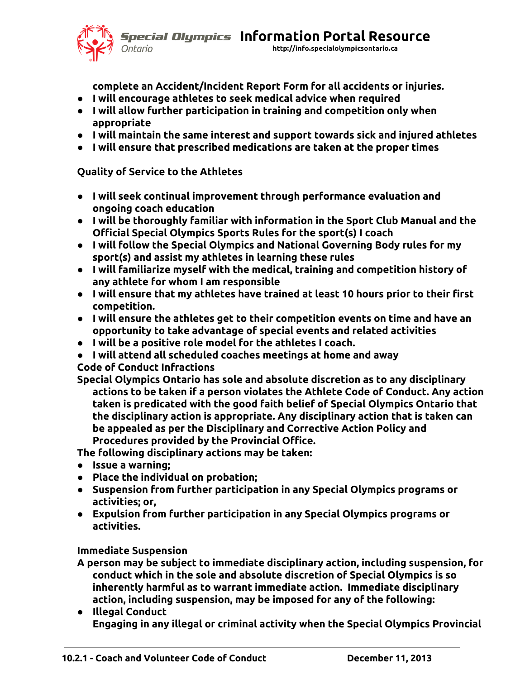**Special Olympics Information Portal Resource** 



http://info.specialolympicsontario.ca

**complete an Accident/Incident Report Form for all accidents or injuries.**

- **I will encourage athletes to seek medical advice when required**
- **I will allow further participation in training and competition only when appropriate**
- **I will maintain the same interest and support towards sick and injured athletes**
- **I will ensure that prescribed medications are taken at the proper times**

# **Quality of Service to the Athletes**

- **I will seek continual improvement through performance evaluation and ongoing coach education**
- **I will be thoroughly familiar with information in the Sport Club Manual and the Official Special Olympics Sports Rules for the sport(s) I coach**
- **I will follow the Special Olympics and National Governing Body rules for my sport(s) and assist my athletes in learning these rules**
- **I will familiarize myself with the medical, training and competition history of any athlete for whom I am responsible**
- **I will ensure that my athletes have trained at least 10 hours prior to their first competition.**
- **I will ensure the athletes get to their competition events on time and have an opportunity to take advantage of special events and related activities**
- **I will be a positive role model for the athletes I coach.**
- **I will attend all scheduled coaches meetings at home and away**

**Code of Conduct Infractions**

**Special Olympics Ontario has sole and absolute discretion as to any disciplinary actions to be taken if a person violates the Athlete Code of Conduct. Any action taken is predicated with the good faith belief of Special Olympics Ontario that the disciplinary action is appropriate. Any disciplinary action that is taken can be appealed as per the Disciplinary and Corrective Action Policy and Procedures provided by the Provincial Office.**

**The following disciplinary actions may be taken:**

- **Issue a warning;**
- **Place the individual on probation;**
- **Suspension from further participation in any Special Olympics programs or activities; or,**
- **Expulsion from further participation in any Special Olympics programs or activities.**

# **Immediate Suspension**

- **A person may be subject to immediate disciplinary action, including suspension, for conduct which in the sole and absolute discretion of Special Olympics is so inherently harmful as to warrant immediate action. Immediate disciplinary action, including suspension, may be imposed for any of the following:**
- **Illegal Conduct Engaging in any illegal or criminal activity when the Special Olympics Provincial**